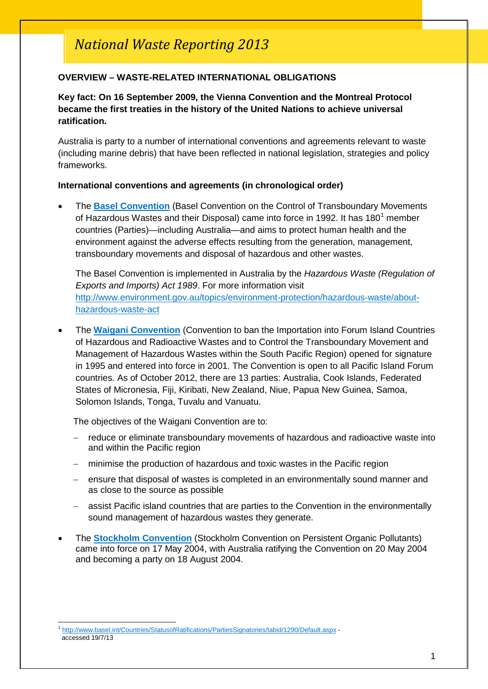# *National Waste Reporting 2013*

## **OVERVIEW – WASTE-RELATED INTERNATIONAL OBLIGATIONS**

## **Key fact: On 16 September 2009, the Vienna Convention and the Montreal Protocol became the first treaties in the history of the United Nations to achieve universal ratification.**

Australia is party to a number of international conventions and agreements relevant to waste (including marine debris) that have been reflected in national legislation, strategies and policy frameworks.

#### **International conventions and agreements (in chronological order)**

• The **[Basel Convention](http://www.environment.gov.au/settlements/chemicals/hazardous-waste/conventions.html)** (Basel Convention on the Control of Transboundary Movements of Hazardous Wastes and their Disposal) came into force in [1](#page-0-0)992. It has 180<sup>1</sup> member countries (Parties)—including Australia—and aims to protect human health and the environment against the adverse effects resulting from the generation, management, transboundary movements and disposal of hazardous and other wastes.

The Basel Convention is implemented in Australia by the *Hazardous Waste (Regulation of Exports and Imports) Act 1989*. For more information visit [http://www.environment.gov.au/topics/environment-protection/hazardous-waste/about](http://www.environment.gov.au/topics/environment-protection/hazardous-waste/about-hazardous-waste-act)[hazardous-waste-act](http://www.environment.gov.au/topics/environment-protection/hazardous-waste/about-hazardous-waste-act)

• The **[Waigani Convention](http://www.sprep.org/attachments/Publications/FactSheet/Waigani_Convention.pdf)** (Convention to ban the Importation into Forum Island Countries of Hazardous and Radioactive Wastes and to Control the Transboundary Movement and Management of Hazardous Wastes within the South Pacific Region) opened for signature in 1995 and entered into force in 2001. The Convention is open to all Pacific Island Forum countries. As of October 2012, there are 13 parties: Australia, Cook Islands, Federated States of Micronesia, Fiji, Kiribati, New Zealand, Niue, Papua New Guinea, Samoa, Solomon Islands, Tonga, Tuvalu and Vanuatu.

The objectives of the Waigani Convention are to:

- − reduce or eliminate transboundary movements of hazardous and radioactive waste into and within the Pacific region
- minimise the production of hazardous and toxic wastes in the Pacific region
- ensure that disposal of wastes is completed in an environmentally sound manner and as close to the source as possible
- assist Pacific island countries that are parties to the Convention in the environmentally sound management of hazardous wastes they generate.
- The **[Stockholm Convention](http://www.pops.int/)** (Stockholm Convention on Persistent Organic Pollutants) came into force on 17 May 2004, with Australia ratifying the Convention on 20 May 2004 and becoming a party on 18 August 2004.

<span id="page-0-1"></span><span id="page-0-0"></span><http://www.basel.int/Countries/StatusofRatifications/PartiesSignatories/tabid/1290/Default.aspx> accessed 19/7/13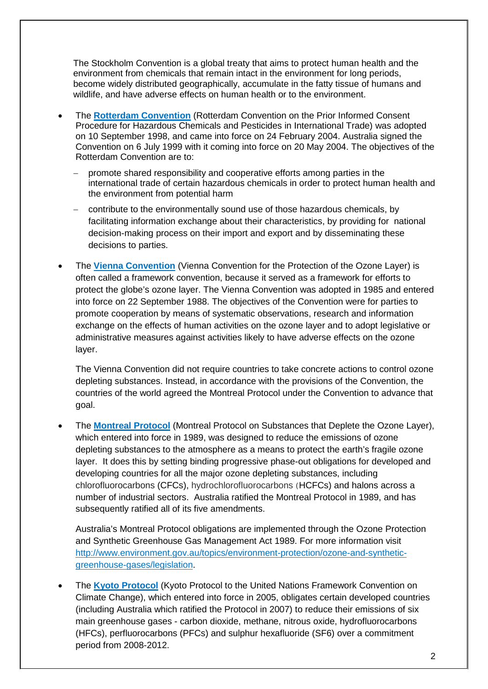The Stockholm Convention is a global treaty that aims to protect human health and the environment from chemicals that remain intact in the environment for long periods, become widely distributed geographically, accumulate in the fatty tissue of humans and wildlife, and have adverse effects on human health or to the environment.

- The **[Rotterdam Convention](http://www.pic.int/TheConvention/Overview/tabid/1044/language/en-US/Default.aspx)** (Rotterdam Convention on the Prior Informed Consent Procedure for Hazardous Chemicals and Pesticides in International Trade) was adopted on 10 September 1998, and came into force on 24 February 2004. Australia signed the Convention on 6 July 1999 with it coming into force on 20 May 2004. The objectives of the Rotterdam Convention are to:
	- promote shared responsibility and cooperative efforts among parties in the international trade of certain hazardous chemicals in order to protect human health and the environment from potential harm
	- − contribute to the environmentally sound use of those hazardous chemicals, by facilitating information exchange about their characteristics, by providing for national decision-making process on their import and export and by disseminating these decisions to parties.
- The **[Vienna Convention](http://ozone.unep.org/new_site/en/Treaties/treaties_decisions-hb.php?sec_id=155)** (Vienna Convention for the Protection of the Ozone Layer) is often called a framework convention, because it served as a framework for efforts to protect the globe's ozone layer. The Vienna Convention was adopted in 1985 and entered into force on 22 September 1988. The objectives of the Convention were for parties to promote cooperation by means of systematic observations, research and information exchange on the effects of human activities on the ozone layer and to adopt legislative or administrative measures against activities likely to have adverse effects on the ozone layer.

The Vienna Convention did not require countries to take concrete actions to control ozone depleting substances. Instead, in accordance with the provisions of the Convention, the countries of the world agreed the Montreal Protocol under the Convention to advance that goal.

• The **[Montreal Protocol](http://ozone.unep.org/new_site/en/Treaties/treaties_decisions-hb.php?sec_id=5)** (Montreal Protocol on Substances that Deplete the Ozone Layer), which entered into force in 1989, was designed to reduce the emissions of ozone depleting substances to the atmosphere as a means to protect the earth's fragile ozone layer. It does this by setting binding progressive phase-out obligations for developed and developing countries for all the major ozone depleting substances, including chlorofluorocarbons (CFCs), hydrochlorofluorocarbons (HCFCs) and halons across a number of industrial sectors. Australia ratified the Montreal Protocol in 1989, and has subsequently ratified all of its five amendments.

Australia's Montreal Protocol obligations are implemented through the Ozone Protection and Synthetic Greenhouse Gas Management Act 1989. For more information visit [http://www.environment.gov.au/topics/environment-protection/ozone-and-synthetic](http://www.environment.gov.au/topics/environment-protection/ozone-and-synthetic-greenhouse-gases/legislation)[greenhouse-gases/legislation.](http://www.environment.gov.au/topics/environment-protection/ozone-and-synthetic-greenhouse-gases/legislation)

• The **[Kyoto Protocol](http://www.climatechange.gov.au/international/negotiations/history-negotiations/kyoto-protocol)** (Kyoto Protocol to the United Nations Framework Convention on Climate Change), which entered into force in 2005, obligates certain developed countries (including Australia which ratified the Protocol in 2007) to reduce their emissions of six main greenhouse gases - carbon dioxide, methane, nitrous oxide, hydrofluorocarbons (HFCs), perfluorocarbons (PFCs) and sulphur hexafluoride (SF6) over a commitment period from 2008-2012.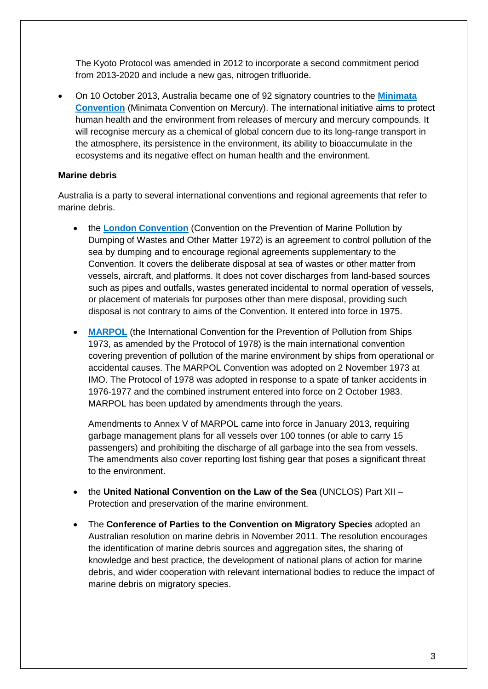The Kyoto Protocol was amended in 2012 to incorporate a second commitment period from 2013-2020 and include a new gas, nitrogen trifluoride.

• On 10 October 2013, Australia became one of 92 signatory countries to the **[Minimata](http://www.environment.gov.au/news/2013/10/16/minimata-convention-mercury-australia-one-92-signatory-countries)  [Convention](http://www.environment.gov.au/news/2013/10/16/minimata-convention-mercury-australia-one-92-signatory-countries)** (Minimata Convention on Mercury). The international initiative aims to protect human health and the environment from releases of mercury and mercury compounds. It will recognise mercury as a chemical of global concern due to its long-range transport in the atmosphere, its persistence in the environment, its ability to bioaccumulate in the ecosystems and its negative effect on human health and the environment.

## **Marine debris**

Australia is a party to several international conventions and regional agreements that refer to marine debris.

- the **London [Convention](http://www.imo.org/OurWork/Environment/LCLP/Pages/default.aspx)** (Convention on the Prevention of Marine Pollution by Dumping of Wastes and Other Matter 1972) is an agreement to control pollution of the sea by dumping and to encourage regional agreements supplementary to the Convention. It covers the deliberate disposal at sea of wastes or other matter from vessels, aircraft, and platforms. It does not cover discharges from land-based sources such as pipes and outfalls, wastes generated incidental to normal operation of vessels, or placement of materials for purposes other than mere disposal, providing such disposal is not contrary to aims of the Convention. It entered into force in 1975.
- **[MARPOL](http://www.amsa.gov.au/environment/legislation-and-prevention/marpol/)** (the International Convention for the Prevention of Pollution from Ships 1973, as amended by the Protocol of 1978) is the main international convention covering prevention of pollution of the marine environment by ships from operational or accidental causes. The MARPOL Convention was adopted on 2 November 1973 at IMO. The Protocol of 1978 was adopted in response to a spate of tanker accidents in 1976-1977 and the combined instrument entered into force on 2 October 1983. MARPOL has been updated by amendments through the years.

Amendments to Annex V of MARPOL came into force in January 2013, requiring garbage management plans for all vessels over 100 tonnes (or able to carry 15 passengers) and prohibiting the discharge of all garbage into the sea from vessels. The amendments also cover reporting lost fishing gear that poses a significant threat to the environment.

- the **United National Convention on the Law of the Sea** (UNCLOS) Part XII Protection and preservation of the marine environment.
- The **Conference of Parties to the Convention on Migratory Species** adopted an Australian resolution on marine debris in November 2011. The resolution encourages the identification of marine debris sources and aggregation sites, the sharing of knowledge and best practice, the development of national plans of action for marine debris, and wider cooperation with relevant international bodies to reduce the impact of marine debris on migratory species.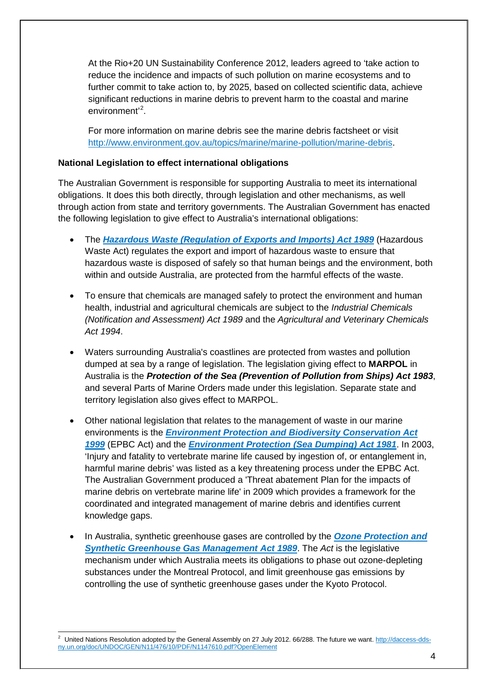At the Rio+20 UN Sustainability Conference 2012, leaders agreed to 'take action to reduce the incidence and impacts of such pollution on marine ecosystems and to further commit to take action to, by 2025, based on collected scientific data, achieve significant reductions in marine debris to prevent harm to the coastal and marine environment'<sup>[2](#page-0-1)</sup>.

For more information on marine debris see the marine debris factsheet or visit [http://www.environment.gov.au/topics/marine/marine-pollution/marine-debris.](http://www.environment.gov.au/topics/marine/marine-pollution/marine-debris)

## **National Legislation to effect international obligations**

The Australian Government is responsible for supporting Australia to meet its international obligations. It does this both directly, through legislation and other mechanisms, as well through action from state and territory governments. The Australian Government has enacted the following legislation to give effect to Australia's international obligations:

- The *[Hazardous Waste \(Regulation of Exports and Imports\) Act 1989](http://www.environment.gov.au/topics/environment-protection/hazardous-waste/about-hazardous-waste-act)* (Hazardous Waste Act) regulates the export and import of hazardous waste to ensure that hazardous waste is disposed of safely so that human beings and the environment, both within and outside Australia, are protected from the harmful effects of the waste.
- To ensure that chemicals are managed safely to protect the environment and human health, industrial and agricultural chemicals are subject to the *Industrial Chemicals (Notification and Assessment) Act 1989* and the *Agricultural and Veterinary Chemicals Act 1994*.
- Waters surrounding Australia's coastlines are protected from wastes and pollution dumped at sea by a range of legislation. The legislation giving effect to **MARPOL** in Australia is the *Protection of the Sea (Prevention of Pollution from Ships) Act 1983*, and several Parts of Marine Orders made under this legislation. Separate state and territory legislation also gives effect to MARPOL.
- Other national legislation that relates to the management of waste in our marine environments is the *[Environment Protection and Biodiversity Conservation Act](http://www.environment.gov.au/topics/biodiversity/legislation)  [1999](http://www.environment.gov.au/topics/biodiversity/legislation)* (EPBC Act) and the *[Environment Protection \(Sea Dumping\) Act 1981](http://www.environment.gov.au/topics/marine/marine-pollution/sea-dumping/sea-dumping-act)*. In 2003, 'Injury and fatality to vertebrate marine life caused by ingestion of, or entanglement in, harmful marine debris' was listed as a key threatening process under the EPBC Act. The Australian Government produced a 'Threat abatement Plan for the impacts of marine debris on vertebrate marine life' in 2009 which provides a framework for the coordinated and integrated management of marine debris and identifies current knowledge gaps.
- In Australia, synthetic greenhouse gases are controlled by the *[Ozone Protection and](http://www.environment.gov.au/topics/environment-protection/ozone-and-synthetic-greenhouse-gases/legislation)  [Synthetic Greenhouse Gas Management Act 1989](http://www.environment.gov.au/topics/environment-protection/ozone-and-synthetic-greenhouse-gases/legislation)*. The *Act* is the legislative mechanism under which Australia meets its obligations to phase out ozone-depleting substances under the Montreal Protocol, and limit greenhouse gas emissions by controlling the use of synthetic greenhouse gases under the Kyoto Protocol.

United Nations Resolution adopted by the General Assembly on 27 July 2012. 66/288. The future we want. [http://daccess-dds](http://daccess-dds-ny.un.org/doc/UNDOC/GEN/N11/476/10/PDF/N1147610.pdf?OpenElement)[ny.un.org/doc/UNDOC/GEN/N11/476/10/PDF/N1147610.pdf?OpenElement](http://daccess-dds-ny.un.org/doc/UNDOC/GEN/N11/476/10/PDF/N1147610.pdf?OpenElement)